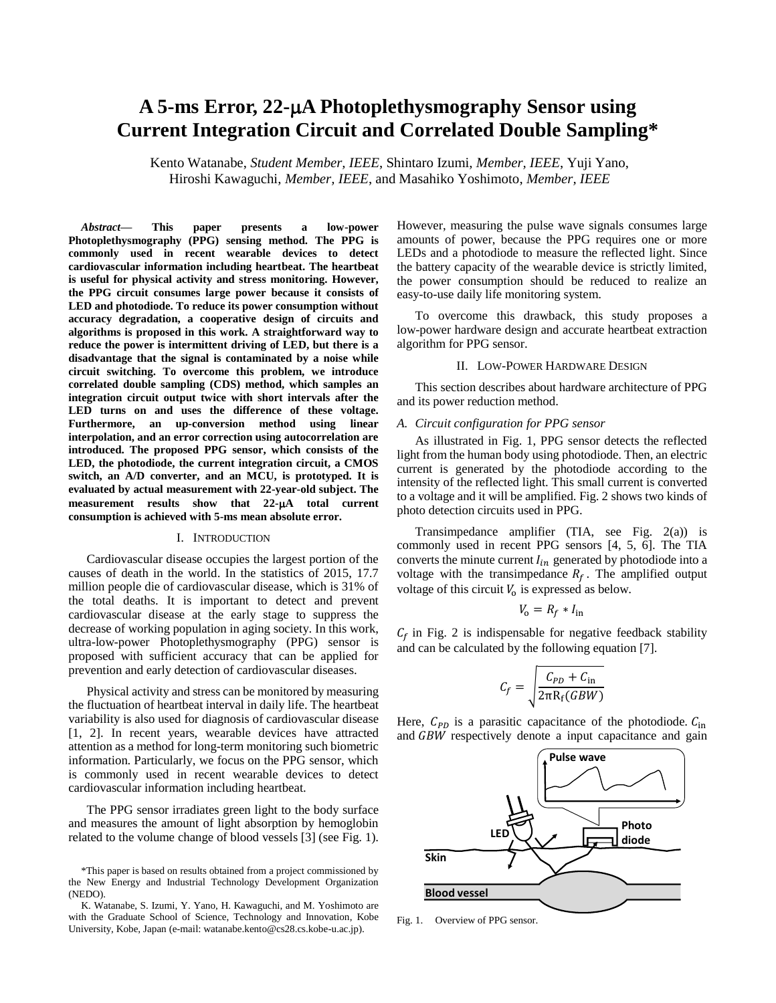# **A 5-ms Error, 22-A Photoplethysmography Sensor using Current Integration Circuit and Correlated Double Sampling\***

Kento Watanabe, *Student Member, IEEE*, Shintaro Izumi, *Member, IEEE*, Yuji Yano, Hiroshi Kawaguchi, *Member, IEEE*, and Masahiko Yoshimoto, *Member, IEEE*

*Abstract***— This paper presents a low-power Photoplethysmography (PPG) sensing method. The PPG is commonly used in recent wearable devices to detect cardiovascular information including heartbeat. The heartbeat is useful for physical activity and stress monitoring. However, the PPG circuit consumes large power because it consists of LED and photodiode. To reduce its power consumption without accuracy degradation, a cooperative design of circuits and algorithms is proposed in this work. A straightforward way to reduce the power is intermittent driving of LED, but there is a disadvantage that the signal is contaminated by a noise while circuit switching. To overcome this problem, we introduce correlated double sampling (CDS) method, which samples an integration circuit output twice with short intervals after the LED turns on and uses the difference of these voltage. Furthermore, an up-conversion method using linear interpolation, and an error correction using autocorrelation are introduced. The proposed PPG sensor, which consists of the LED, the photodiode, the current integration circuit, a CMOS switch, an A/D converter, and an MCU, is prototyped. It is evaluated by actual measurement with 22-year-old subject. The**  measurement results show that 22- $\mu$ A total current **consumption is achieved with 5-ms mean absolute error.** 

### I. INTRODUCTION

Cardiovascular disease occupies the largest portion of the causes of death in the world. In the statistics of 2015, 17.7 million people die of cardiovascular disease, which is 31% of the total deaths. It is important to detect and prevent cardiovascular disease at the early stage to suppress the decrease of working population in aging society. In this work, ultra-low-power Photoplethysmography (PPG) sensor is proposed with sufficient accuracy that can be applied for prevention and early detection of cardiovascular diseases.

Physical activity and stress can be monitored by measuring the fluctuation of heartbeat interval in daily life. The heartbeat variability is also used for diagnosis of cardiovascular disease [1, 2]. In recent years, wearable devices have attracted attention as a method for long-term monitoring such biometric information. Particularly, we focus on the PPG sensor, which is commonly used in recent wearable devices to detect cardiovascular information including heartbeat.

The PPG sensor irradiates green light to the body surface and measures the amount of light absorption by hemoglobin related to the volume change of blood vessels [3] (see Fig. 1).

However, measuring the pulse wave signals consumes large amounts of power, because the PPG requires one or more LEDs and a photodiode to measure the reflected light. Since the battery capacity of the wearable device is strictly limited, the power consumption should be reduced to realize an easy-to-use daily life monitoring system.

To overcome this drawback, this study proposes a low-power hardware design and accurate heartbeat extraction algorithm for PPG sensor.

#### II. LOW-POWER HARDWARE DESIGN

This section describes about hardware architecture of PPG and its power reduction method.

## *A. Circuit configuration for PPG sensor*

As illustrated in Fig. 1, PPG sensor detects the reflected light from the human body using photodiode. Then, an electric current is generated by the photodiode according to the intensity of the reflected light. This small current is converted to a voltage and it will be amplified. Fig. 2 shows two kinds of photo detection circuits used in PPG.

Transimpedance amplifier (TIA, see Fig. 2(a)) is commonly used in recent PPG sensors [4, 5, 6]. The TIA converts the minute current  $I_{in}$  generated by photodiode into a voltage with the transimpedance  $R_f$ . The amplified output voltage of this circuit  $V_0$  is expressed as below.

$$
V_{\rm o} = R_f * I_{\rm in}
$$

 $C_f$  in Fig. 2 is indispensable for negative feedback stability and can be calculated by the following equation [7].

$$
C_f = \sqrt{\frac{C_{PD} + C_{\text{in}}}{2\pi R_f(GBW)}}
$$

Here,  $C_{PD}$  is a parasitic capacitance of the photodiode.  $C_{in}$ and GBW respectively denote a input capacitance and gain



Fig. 1. Overview of PPG sensor.

<sup>\*</sup>This paper is based on results obtained from a project commissioned by the New Energy and Industrial Technology Development Organization (NEDO).

K. Watanabe, S. Izumi, Y. Yano, H. Kawaguchi, and M. Yoshimoto are with the Graduate School of Science, Technology and Innovation, Kobe University, Kobe, Japan (e-mail: watanabe.kento@cs28.cs.kobe-u.ac.jp).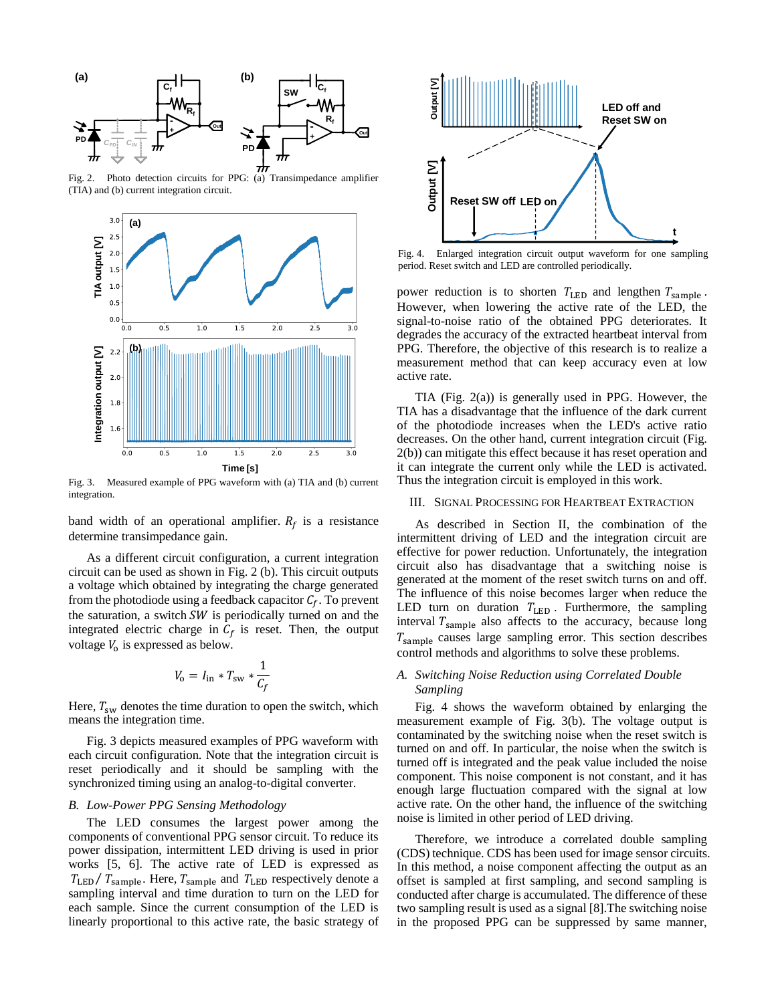

Fig. 2. Photo detection circuits for PPG: (a) Transimpedance amplifier (TIA) and (b) current integration circuit.



Fig. 3. Measured example of PPG waveform with (a) TIA and (b) current integration.

band width of an operational amplifier.  $R_f$  is a resistance determine transimpedance gain.

As a different circuit configuration, a current integration circuit can be used as shown in Fig. 2 (b). This circuit outputs a voltage which obtained by integrating the charge generated from the photodiode using a feedback capacitor  $C_f$ . To prevent the saturation, a switch  $SW$  is periodically turned on and the integrated electric charge in  $C_f$  is reset. Then, the output voltage  $V_0$  is expressed as below.

$$
V_{\rm o} = I_{\rm in} * T_{\rm sw} * \frac{1}{C_f}
$$

Here,  $T_{sw}$  denotes the time duration to open the switch, which means the integration time.

Fig. 3 depicts measured examples of PPG waveform with each circuit configuration. Note that the integration circuit is reset periodically and it should be sampling with the synchronized timing using an analog-to-digital converter.

### *B. Low-Power PPG Sensing Methodology*

The LED consumes the largest power among the components of conventional PPG sensor circuit. To reduce its power dissipation, intermittent LED driving is used in prior works [5, 6]. The active rate of LED is expressed as  $T_{LED}/T_{sample}$ . Here,  $T_{sample}$  and  $T_{LED}$  respectively denote a sampling interval and time duration to turn on the LED for each sample. Since the current consumption of the LED is linearly proportional to this active rate, the basic strategy of



Fig. 4. Enlarged integration circuit output waveform for one sampling period. Reset switch and LED are controlled periodically.

power reduction is to shorten  $T_{LED}$  and lengthen  $T_{sample}$ . However, when lowering the active rate of the LED, the signal-to-noise ratio of the obtained PPG deteriorates. It degrades the accuracy of the extracted heartbeat interval from PPG. Therefore, the objective of this research is to realize a measurement method that can keep accuracy even at low active rate.

TIA (Fig. 2(a)) is generally used in PPG. However, the TIA has a disadvantage that the influence of the dark current of the photodiode increases when the LED's active ratio decreases. On the other hand, current integration circuit (Fig. 2(b)) can mitigate this effect because it has reset operation and it can integrate the current only while the LED is activated. Thus the integration circuit is employed in this work.

# III. SIGNAL PROCESSING FOR HEARTBEAT EXTRACTION

As described in Section II, the combination of the intermittent driving of LED and the integration circuit are effective for power reduction. Unfortunately, the integration circuit also has disadvantage that a switching noise is generated at the moment of the reset switch turns on and off. The influence of this noise becomes larger when reduce the LED turn on duration  $T_{LED}$ . Furthermore, the sampling interval  $T_{\text{sample}}$  also affects to the accuracy, because long  $T_{\text{sample}}$  causes large sampling error. This section describes control methods and algorithms to solve these problems.

# *A. Switching Noise Reduction using Correlated Double Sampling*

Fig. 4 shows the waveform obtained by enlarging the measurement example of Fig. 3(b). The voltage output is contaminated by the switching noise when the reset switch is turned on and off. In particular, the noise when the switch is turned off is integrated and the peak value included the noise component. This noise component is not constant, and it has enough large fluctuation compared with the signal at low active rate. On the other hand, the influence of the switching noise is limited in other period of LED driving.

Therefore, we introduce a correlated double sampling (CDS) technique. CDS has been used for image sensor circuits. In this method, a noise component affecting the output as an offset is sampled at first sampling, and second sampling is conducted after charge is accumulated. The difference of these two sampling result is used as a signal [8].The switching noise in the proposed PPG can be suppressed by same manner,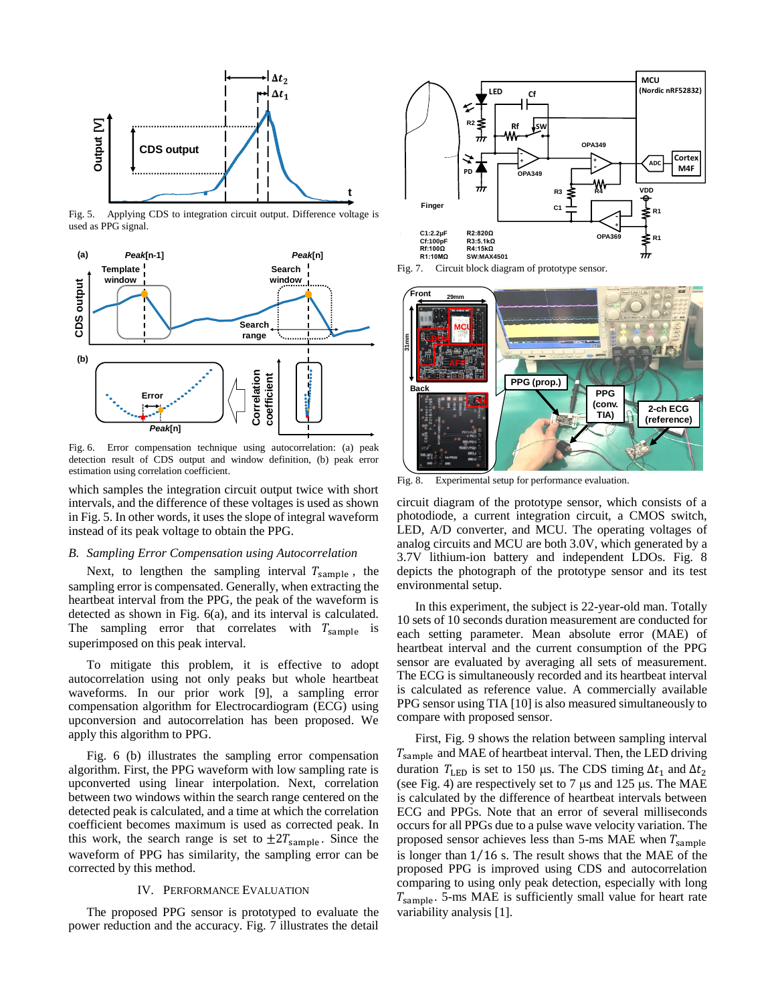

Fig. 5. Applying CDS to integration circuit output. Difference voltage is used as PPG signal.



Fig. 6. Error compensation technique using autocorrelation: (a) peak detection result of CDS output and window definition, (b) peak error estimation using correlation coefficient.

which samples the integration circuit output twice with short intervals, and the difference of these voltages is used as shown in Fig. 5. In other words, it uses the slope of integral waveform instead of its peak voltage to obtain the PPG.

## *B. Sampling Error Compensation using Autocorrelation*

Next, to lengthen the sampling interval  $T_{\text{sample}}$ , the sampling error is compensated. Generally, when extracting the heartbeat interval from the PPG, the peak of the waveform is detected as shown in Fig. 6(a), and its interval is calculated. The sampling error that correlates with  $T_{\text{sample}}$  is superimposed on this peak interval.

To mitigate this problem, it is effective to adopt autocorrelation using not only peaks but whole heartbeat waveforms. In our prior work [9], a sampling error compensation algorithm for Electrocardiogram (ECG) using upconversion and autocorrelation has been proposed. We apply this algorithm to PPG.

Fig. 6 (b) illustrates the sampling error compensation algorithm. First, the PPG waveform with low sampling rate is upconverted using linear interpolation. Next, correlation between two windows within the search range centered on the detected peak is calculated, and a time at which the correlation coefficient becomes maximum is used as corrected peak. In this work, the search range is set to  $\pm 2T_{\text{sample}}$ . Since the waveform of PPG has similarity, the sampling error can be corrected by this method.

## IV. PERFORMANCE EVALUATION

The proposed PPG sensor is prototyped to evaluate the power reduction and the accuracy. Fig. 7 illustrates the detail



Fig. 7. Circuit block diagram of prototype sensor.



Fig. 8. Experimental setup for performance evaluation.

circuit diagram of the prototype sensor, which consists of a photodiode, a current integration circuit, a CMOS switch, LED, A/D converter, and MCU. The operating voltages of analog circuits and MCU are both 3.0V, which generated by a 3.7V lithium-ion battery and independent LDOs. Fig. 8 depicts the photograph of the prototype sensor and its test environmental setup.

In this experiment, the subject is 22-year-old man. Totally 10 sets of 10 seconds duration measurement are conducted for each setting parameter. Mean absolute error (MAE) of heartbeat interval and the current consumption of the PPG sensor are evaluated by averaging all sets of measurement. The ECG is simultaneously recorded and its heartbeat interval is calculated as reference value. A commercially available PPG sensor using TIA [10] is also measured simultaneously to compare with proposed sensor.

First, Fig. 9 shows the relation between sampling interval  $T_{\text{sample}}$  and MAE of heartbeat interval. Then, the LED driving duration  $T_{LED}$  is set to 150 μs. The CDS timing  $\Delta t_1$  and  $\Delta t_2$ (see Fig. 4) are respectively set to 7  $\mu$ s and 125  $\mu$ s. The MAE is calculated by the difference of heartbeat intervals between ECG and PPGs. Note that an error of several milliseconds occurs for all PPGs due to a pulse wave velocity variation. The proposed sensor achieves less than 5-ms MAE when  $T_{\text{sample}}$ is longer than 1⁄16 s. The result shows that the MAE of the proposed PPG is improved using CDS and autocorrelation comparing to using only peak detection, especially with long  $T_{\text{sample}}$ . 5-ms MAE is sufficiently small value for heart rate variability analysis [1].